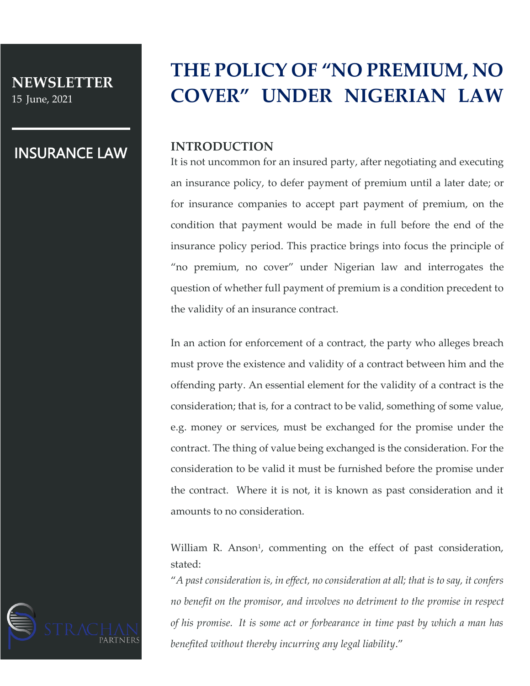**NEWSLETTER**  15 June, 2021

## INSURANCE LAW

# **THE POLICY OF "NO PREMIUM, NO COVER" UNDER NIGERIAN LAW**

### **INTRODUCTION**

It is not uncommon for an insured party, after negotiating and executing an insurance policy, to defer payment of premium until a later date; or for insurance companies to accept part payment of premium, on the condition that payment would be made in full before the end of the insurance policy period. This practice brings into focus the principle of "no premium, no cover" under Nigerian law and interrogates the question of whether full payment of premium is a condition precedent to the validity of an insurance contract.

In an action for enforcement of a contract, the party who alleges breach must prove the existence and validity of a contract between him and the offending party. An essential element for the validity of a contract is the consideration; that is, for a contract to be valid, something of some value, e.g. money or services, must be exchanged for the promise under the contract. The thing of value being exchanged is the consideration. For the consideration to be valid it must be furnished before the promise under the contract. Where it is not, it is known as past consideration and it amounts to no consideration.

William R. Anson<sup>1</sup>, commenting on the effect of past consideration, stated:

"*A past consideration is, in effect, no consideration at all; that is to say, it confers no benefit on the promisor, and involves no detriment to the promise in respect of his promise. It is some act or forbearance in time past by which a man has benefited without thereby incurring any legal liability*."

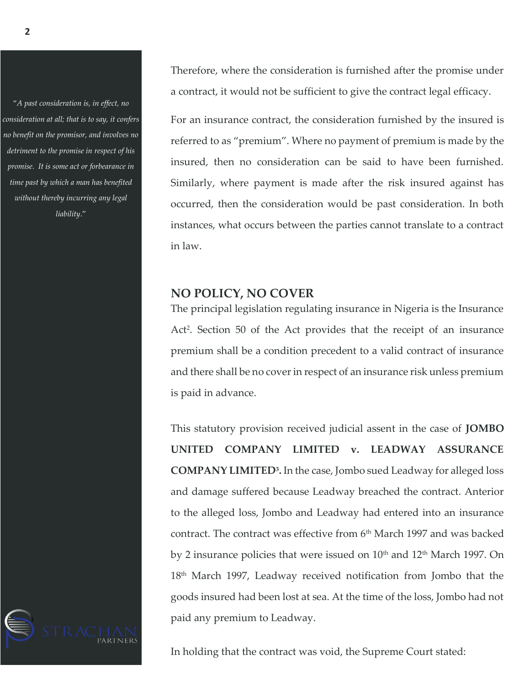"*A past consideration is, in effect, no consideration at all; that is to say, it confers no benefit on the promisor, and involves no detriment to the promise in respect of his promise. It is some act or forbearance in time past by which a man has benefited without thereby incurring any legal liability*."

Therefore, where the consideration is furnished after the promise under a contract, it would not be sufficient to give the contract legal efficacy.

For an insurance contract, the consideration furnished by the insured is referred to as "premium". Where no payment of premium is made by the insured, then no consideration can be said to have been furnished. Similarly, where payment is made after the risk insured against has occurred, then the consideration would be past consideration. In both instances, what occurs between the parties cannot translate to a contract in law.

#### **NO POLICY, NO COVER**

The principal legislation regulating insurance in Nigeria is the Insurance Act<sup>2</sup>. Section 50 of the Act provides that the receipt of an insurance premium shall be a condition precedent to a valid contract of insurance and there shall be no cover in respect of an insurance risk unless premium is paid in advance.

This statutory provision received judicial assent in the case of **JOMBO UNITED COMPANY LIMITED v. LEADWAY ASSURANCE COMPANY LIMITED<sup>3</sup> .** In the case, Jombo sued Leadway for alleged loss and damage suffered because Leadway breached the contract. Anterior to the alleged loss, Jombo and Leadway had entered into an insurance contract. The contract was effective from 6<sup>th</sup> March 1997 and was backed by 2 insurance policies that were issued on  $10<sup>th</sup>$  and  $12<sup>th</sup>$  March 1997. On 18th March 1997, Leadway received notification from Jombo that the goods insured had been lost at sea. At the time of the loss, Jombo had not paid any premium to Leadway.



In holding that the contract was void, the Supreme Court stated: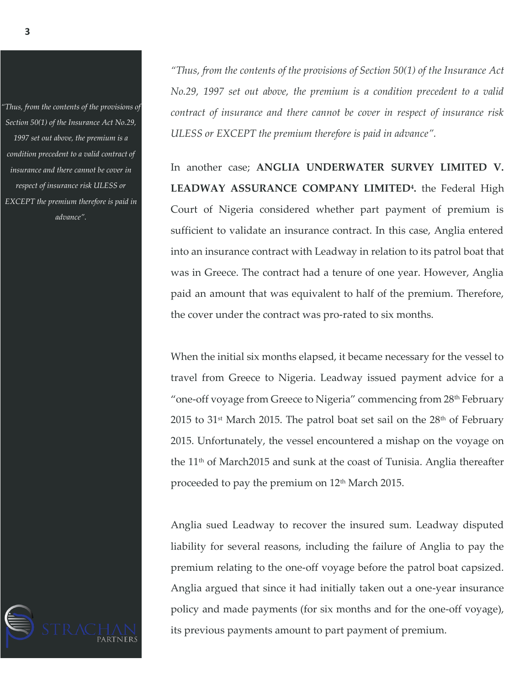*"Thus, from the contents of the provisions of Section 50(1) of the Insurance Act No.29, 1997 set out above, the premium is a condition precedent to a valid contract of insurance and there cannot be cover in respect of insurance risk ULESS or EXCEPT the premium therefore is paid in advance".*

*"Thus, from the contents of the provisions of Section 50(1) of the Insurance Act No.29, 1997 set out above, the premium is a condition precedent to a valid contract of insurance and there cannot be cover in respect of insurance risk ULESS or EXCEPT the premium therefore is paid in advance".*

In another case; **ANGLIA UNDERWATER SURVEY LIMITED V. LEADWAY ASSURANCE COMPANY LIMITED<sup>4</sup> .** the Federal High Court of Nigeria considered whether part payment of premium is sufficient to validate an insurance contract. In this case, Anglia entered into an insurance contract with Leadway in relation to its patrol boat that was in Greece. The contract had a tenure of one year. However, Anglia paid an amount that was equivalent to half of the premium. Therefore, the cover under the contract was pro-rated to six months.

When the initial six months elapsed, it became necessary for the vessel to travel from Greece to Nigeria. Leadway issued payment advice for a "one-off voyage from Greece to Nigeria" commencing from 28<sup>th</sup> February 2015 to 31<sup>st</sup> March 2015. The patrol boat set sail on the  $28<sup>th</sup>$  of February 2015. Unfortunately, the vessel encountered a mishap on the voyage on the  $11<sup>th</sup>$  of March2015 and sunk at the coast of Tunisia. Anglia thereafter proceeded to pay the premium on 12<sup>th</sup> March 2015.

Anglia sued Leadway to recover the insured sum. Leadway disputed liability for several reasons, including the failure of Anglia to pay the premium relating to the one-off voyage before the patrol boat capsized. Anglia argued that since it had initially taken out a one-year insurance policy and made payments (for six months and for the one-off voyage), its previous payments amount to part payment of premium.